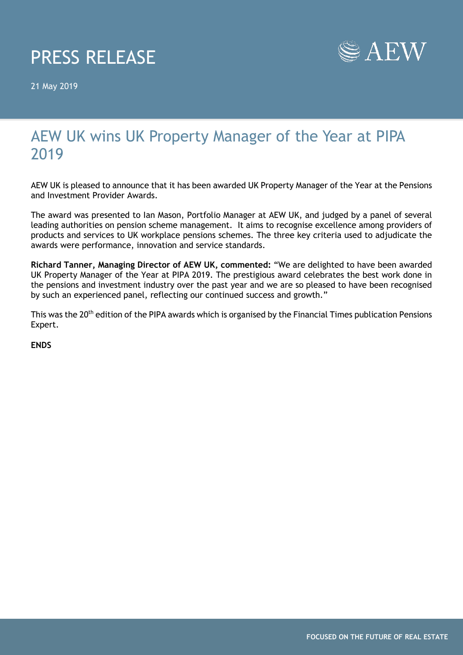## PRESS RELEASE

21 May 2019



## AEW UK wins UK Property Manager of the Year at PIPA 2019

AEW UK is pleased to announce that it has been awarded UK Property Manager of the Year at the Pensions and Investment Provider Awards.

The award was presented to Ian Mason, Portfolio Manager at AEW UK, and judged by a panel of several leading authorities on pension scheme management. It aims to recognise excellence among providers of products and services to UK workplace pensions schemes. The three key criteria used to adjudicate the awards were performance, innovation and service standards.

**Richard Tanner, Managing Director of AEW UK, commented:** "We are delighted to have been awarded UK Property Manager of the Year at PIPA 2019. The prestigious award celebrates the best work done in the pensions and investment industry over the past year and we are so pleased to have been recognised by such an experienced panel, reflecting our continued success and growth."

This was the 20<sup>th</sup> edition of the PIPA awards which is organised by the Financial Times publication Pensions Expert.

**ENDS**